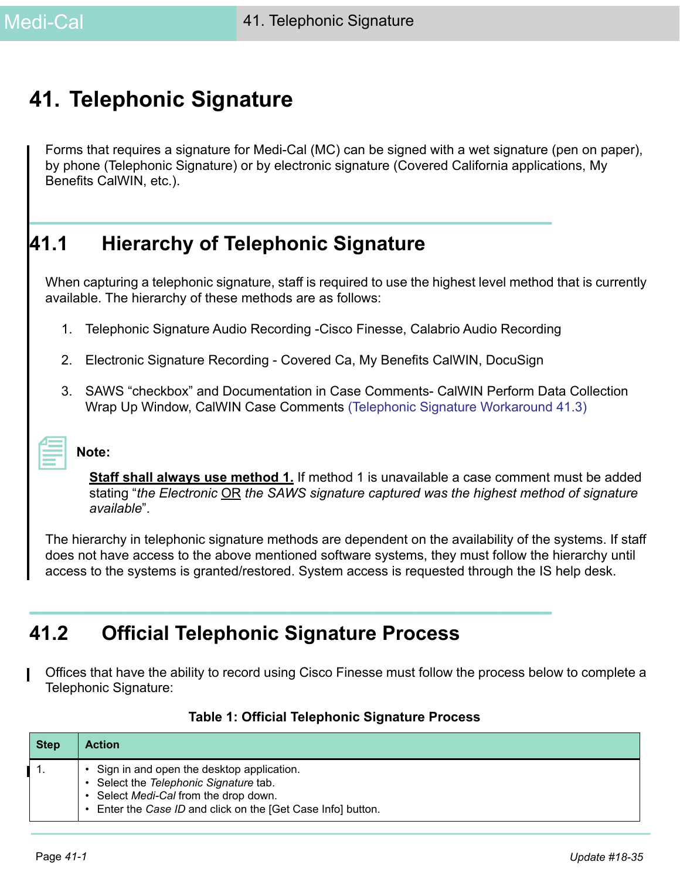# **41. Telephonic Signature**

Forms that requires a signature for Medi-Cal (MC) can be signed with a wet signature (pen on paper), by phone (Telephonic Signature) or by electronic signature (Covered California applications, My Benefits CalWIN, etc.).

## **41.1 Hierarchy of Telephonic Signature**

When capturing a telephonic signature, staff is required to use the highest level method that is currently available. The hierarchy of these methods are as follows:

- 1. Telephonic Signature Audio Recording -Cisco Finesse, Calabrio Audio Recording
- 2. Electronic Signature Recording Covered Ca, My Benefits CalWIN, DocuSign
- 3. SAWS "checkbox" and Documentation in Case Comments- CalWIN Perform Data Collection Wrap Up Window, CalWIN Case Comment[s \(Telephonic Signature Workaround 41.3\)](#page-1-0)

#### **Note:**

**Staff shall always use method 1.** If method 1 is unavailable a case comment must be added stating "*the Electronic* OR *the SAWS signature captured was the highest method of signature available*".

The hierarchy in telephonic signature methods are dependent on the availability of the systems. If staff does not have access to the above mentioned software systems, they must follow the hierarchy until access to the systems is granted/restored. System access is requested through the IS help desk.

### **41.2 Official Telephonic Signature Process**

Offices that have the ability to record using Cisco Finesse must follow the process below to complete a Telephonic Signature:

| <b>Step</b> | <b>Action</b>                                                                                                                                                                              |
|-------------|--------------------------------------------------------------------------------------------------------------------------------------------------------------------------------------------|
|             | Sign in and open the desktop application.<br>• Select the Telephonic Signature tab.<br>Select Medi-Cal from the drop down.<br>• Enter the Case ID and click on the [Get Case Info] button. |

#### **Table 1: Official Telephonic Signature Process**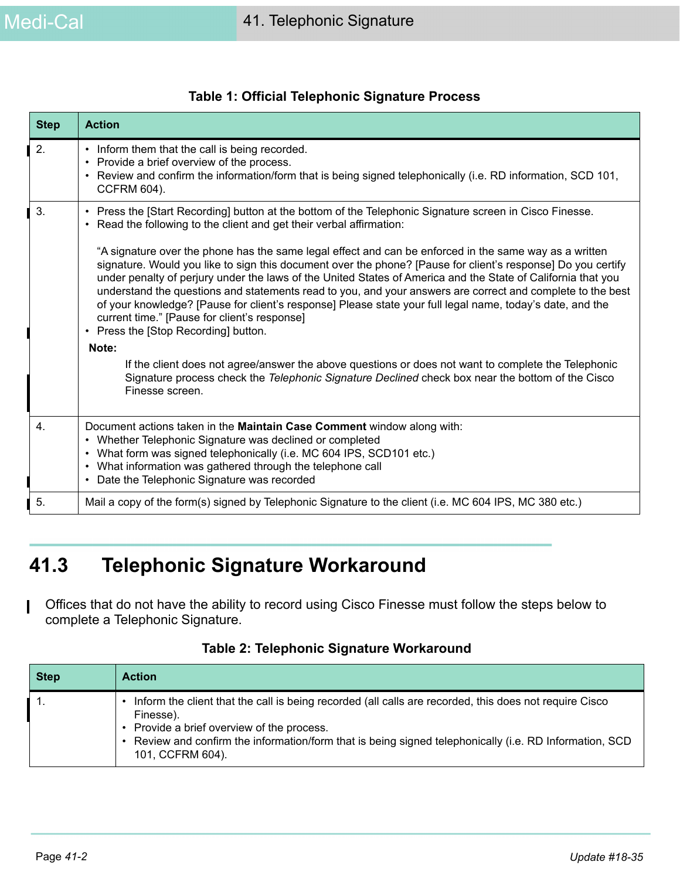<span id="page-1-0"></span>

| <b>Step</b> | <b>Action</b>                                                                                                                                                                                                                                                                                                                                                                                                                                                                                                                                                                                                                                                        |
|-------------|----------------------------------------------------------------------------------------------------------------------------------------------------------------------------------------------------------------------------------------------------------------------------------------------------------------------------------------------------------------------------------------------------------------------------------------------------------------------------------------------------------------------------------------------------------------------------------------------------------------------------------------------------------------------|
| 2.          | • Inform them that the call is being recorded.<br>Provide a brief overview of the process.<br>$\bullet$<br>Review and confirm the information/form that is being signed telephonically (i.e. RD information, SCD 101,<br>$\bullet$<br><b>CCFRM 604).</b>                                                                                                                                                                                                                                                                                                                                                                                                             |
| 3.          | Press the [Start Recording] button at the bottom of the Telephonic Signature screen in Cisco Finesse.<br>$\bullet$<br>Read the following to the client and get their verbal affirmation:                                                                                                                                                                                                                                                                                                                                                                                                                                                                             |
|             | "A signature over the phone has the same legal effect and can be enforced in the same way as a written<br>signature. Would you like to sign this document over the phone? [Pause for client's response] Do you certify<br>under penalty of perjury under the laws of the United States of America and the State of California that you<br>understand the questions and statements read to you, and your answers are correct and complete to the best<br>of your knowledge? [Pause for client's response] Please state your full legal name, today's date, and the<br>current time." [Pause for client's response]<br>Press the [Stop Recording] button.<br>$\bullet$ |
|             | Note:                                                                                                                                                                                                                                                                                                                                                                                                                                                                                                                                                                                                                                                                |
|             | If the client does not agree/answer the above questions or does not want to complete the Telephonic<br>Signature process check the Telephonic Signature Declined check box near the bottom of the Cisco<br>Finesse screen.                                                                                                                                                                                                                                                                                                                                                                                                                                           |
| 4.          | Document actions taken in the <b>Maintain Case Comment</b> window along with:<br>• Whether Telephonic Signature was declined or completed<br>What form was signed telephonically (i.e. MC 604 IPS, SCD101 etc.)<br>$\bullet$<br>What information was gathered through the telephone call<br>$\bullet$<br>Date the Telephonic Signature was recorded<br>$\bullet$                                                                                                                                                                                                                                                                                                     |
| 5.          | Mail a copy of the form(s) signed by Telephonic Signature to the client (i.e. MC 604 IPS, MC 380 etc.)                                                                                                                                                                                                                                                                                                                                                                                                                                                                                                                                                               |

#### **Table 1: Official Telephonic Signature Process**

### **41.3 Telephonic Signature Workaround**

Offices that do not have the ability to record using Cisco Finesse must follow the steps below to complete a Telephonic Signature.

| <b>Step</b> | <b>Action</b>                                                                                                                                                                                                                                                                                |
|-------------|----------------------------------------------------------------------------------------------------------------------------------------------------------------------------------------------------------------------------------------------------------------------------------------------|
|             | Inform the client that the call is being recorded (all calls are recorded, this does not require Cisco<br>Finesse).<br>Provide a brief overview of the process.<br>Review and confirm the information/form that is being signed telephonically (i.e. RD Information, SCD<br>101, CCFRM 604). |

I